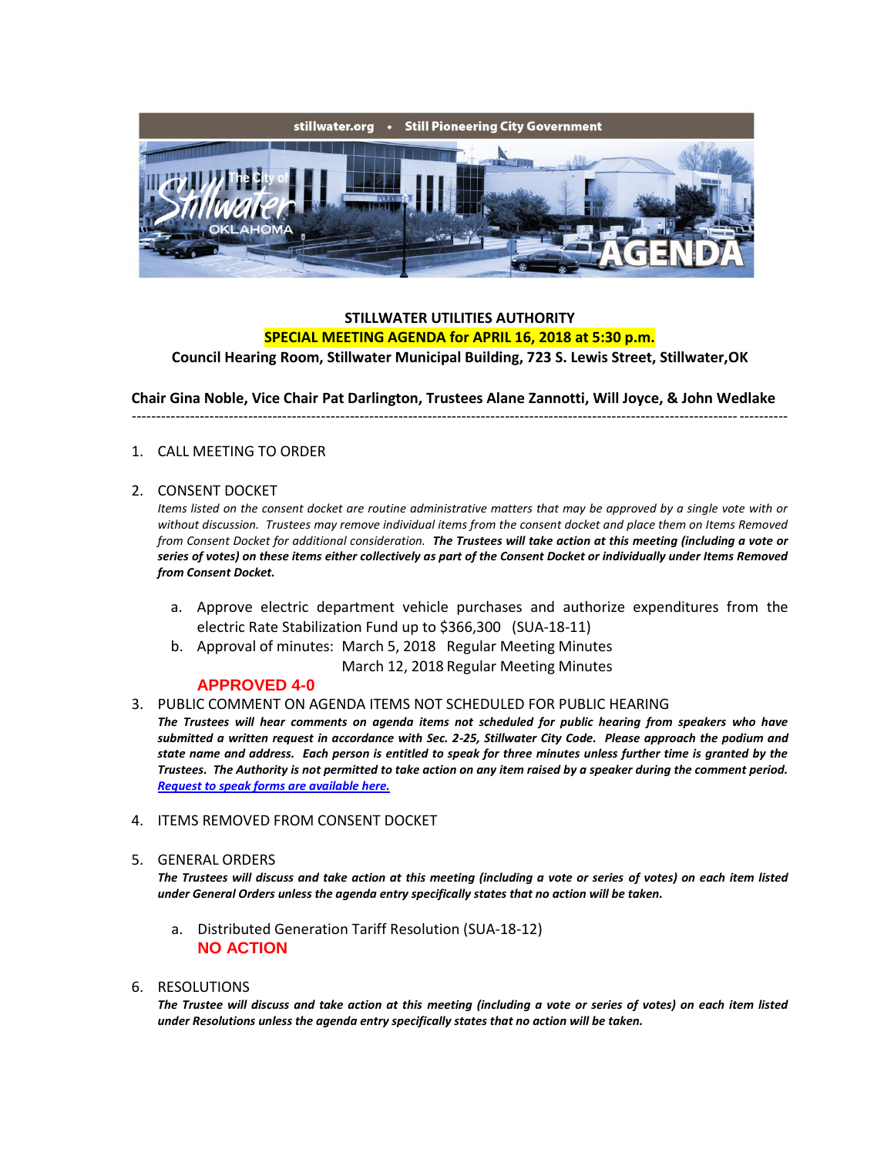

# **STILLWATER UTILITIES AUTHORITY SPECIAL MEETING AGENDA for APRIL 16, 2018 at 5:30 p.m.**

**Council Hearing Room, Stillwater Municipal Building, 723 S. Lewis Street, Stillwater,OK**

**Chair Gina Noble, Vice Chair Pat Darlington, Trustees Alane Zannotti, Will Joyce, & John Wedlake**

---------------------------------------------------------------------------------------------------------------------------------------

## 1. CALL MEETING TO ORDER

#### 2. CONSENT DOCKET

*Items listed on the consent docket are routine administrative matters that may be approved by a single vote with or without discussion. Trustees may remove individual items from the consent docket and place them on Items Removed from Consent Docket for additional consideration. The Trustees will take action at this meeting (including a vote or series of votes) on these items either collectively as part of the Consent Docket or individually under Items Removed from Consent Docket.*

- a. Approve electric department vehicle purchases and authorize expenditures from the electric Rate Stabilization Fund up to \$366,300 (SUA-18-11)
- b. Approval of minutes: March 5, 2018 Regular Meeting Minutes March 12, 2018 Regular Meeting Minutes

## **APPROVED 4-0**

- 3. PUBLIC COMMENT ON AGENDA ITEMS NOT SCHEDULED FOR PUBLIC HEARING
- *The Trustees will hear comments on agenda items not scheduled for public hearing from speakers who have submitted a written request in accordance with Sec. 2-25, Stillwater City Code. Please approach the podium and state name and address. Each person is entitled to speak for three minutes unless further time is granted by the Trustees. The Authority is not permitted to take action on any item raised by a speaker during the comment period. [Request to speak forms are available here.](http://stillwater.org/document/request_to_speak_at_city_council.php)*
- 4. ITEMS REMOVED FROM CONSENT DOCKET

#### 5. GENERAL ORDERS

*The Trustees will discuss and take action at this meeting (including a vote or series of votes) on each item listed under General Orders unless the agenda entry specifically states that no action will be taken.*

a. Distributed Generation Tariff Resolution (SUA-18-12) **NO ACTION**

## 6. RESOLUTIONS

*The Trustee will discuss and take action at this meeting (including a vote or series of votes) on each item listed under Resolutions unless the agenda entry specifically states that no action will be taken.*